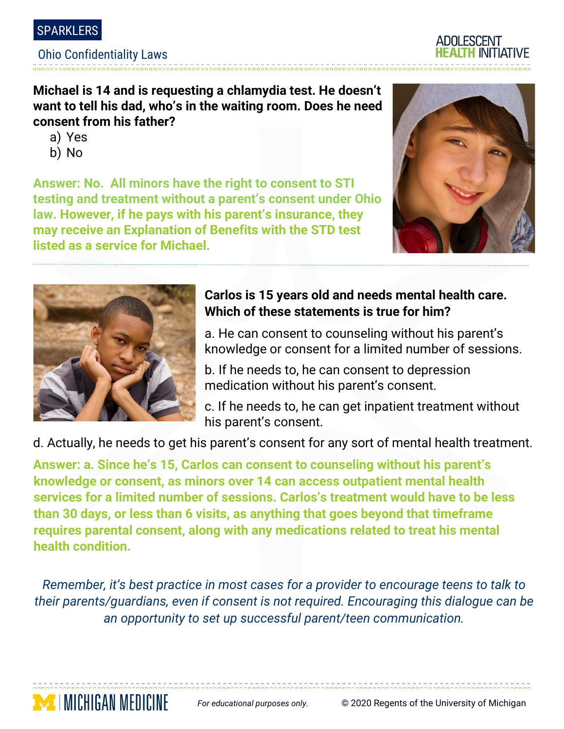

#### Ohio Confidentiality Laws

**Michael is 14 and is requesting a chlamydia test. He doesn't want to tell his dad, who's in the waiting room. Does he need consent from his father?** 

- a) Yes
- b) No

**Answer: No. All minors have the right to consent to STI testing and treatment without a parent's consent under Ohio law. However, if he pays with his parent's insurance, they may receive an Explanation of Benefits with the STD test listed as a service for Michael.** 





**MEDICHIGAN MEDICINE** 

# **Carlos is 15 years old and needs mental health care. Which of these statements is true for him?**

a. He can consent to counseling without his parent's knowledge or consent for a limited number of sessions.

b. If he needs to, he can consent to depression medication without his parent's consent.

c. If he needs to, he can get inpatient treatment without his parent's consent.

d. Actually, he needs to get his parent's consent for any sort of mental health treatment.

**Answer: a. Since he's 15, Carlos can consent to counseling without his parent's knowledge or consent, as minors over 14 can access outpatient mental health services for a limited number of sessions. Carlos's treatment would have to be less than 30 days, or less than 6 visits, as anything that goes beyond that timeframe requires parental consent, along with any medications related to treat his mental health condition.** 

*Remember, it's best practice in most cases for a provider to encourage teens to talk to their parents/guardians, even if consent is not required. Encouraging this dialogue can be an opportunity to set up successful parent/teen communication.*